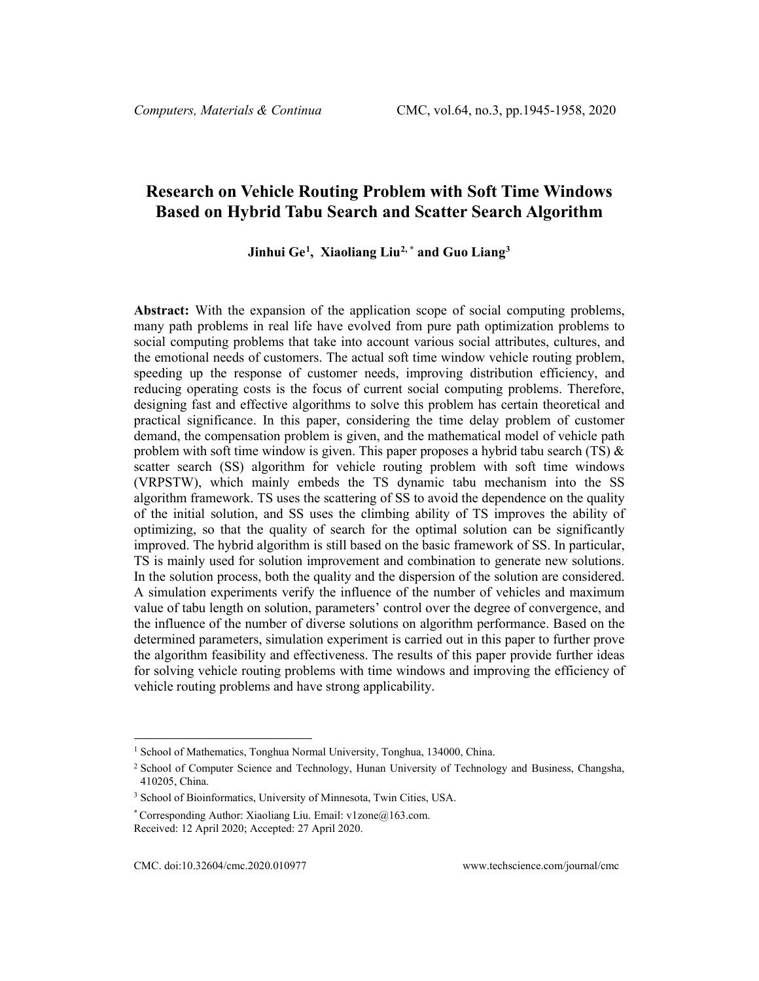# **Research on Vehicle Routing Problem with Soft Time Windows Based on Hybrid Tabu Search and Scatter Search Algorithm**

# **Jinhui Ge[1](#page-0-0) , Xiaoliang Liu[2](#page-0-1), \* and Guo Liang[3](#page-0-2)**

**Abstract:** With the expansion of the application scope of social computing problems, many path problems in real life have evolved from pure path optimization problems to social computing problems that take into account various social attributes, cultures, and the emotional needs of customers. The actual soft time window vehicle routing problem, speeding up the response of customer needs, improving distribution efficiency, and reducing operating costs is the focus of current social computing problems. Therefore, designing fast and effective algorithms to solve this problem has certain theoretical and practical significance. In this paper, considering the time delay problem of customer demand, the compensation problem is given, and the mathematical model of vehicle path problem with soft time window is given. This paper proposes a hybrid tabu search (TS)  $\&$ scatter search (SS) algorithm for vehicle routing problem with soft time windows (VRPSTW), which mainly embeds the TS dynamic tabu mechanism into the SS algorithm framework. TS uses the scattering of SS to avoid the dependence on the quality of the initial solution, and SS uses the climbing ability of TS improves the ability of optimizing, so that the quality of search for the optimal solution can be significantly improved. The hybrid algorithm is still based on the basic framework of SS. In particular, TS is mainly used for solution improvement and combination to generate new solutions. In the solution process, both the quality and the dispersion of the solution are considered. A simulation experiments verify the influence of the number of vehicles and maximum value of tabu length on solution, parameters' control over the degree of convergence, and the influence of the number of diverse solutions on algorithm performance. Based on the determined parameters, simulation experiment is carried out in this paper to further prove the algorithm feasibility and effectiveness. The results of this paper provide further ideas for solving vehicle routing problems with time windows and improving the efficiency of vehicle routing problems and have strong applicability.

<span id="page-0-0"></span><sup>&</sup>lt;sup>1</sup> School of Mathematics, Tonghua Normal University, Tonghua, 134000, China.

<span id="page-0-1"></span><sup>2</sup> School of Computer Science and Technology, Hunan University of Technology and Business, Changsha, 410205, China.

<span id="page-0-2"></span><sup>3</sup> School of Bioinformatics, University of Minnesota, Twin Cities, USA.

<sup>\*</sup> Corresponding Author: Xiaoliang Liu. Email: v1zone@163.com.

Received: 12 April 2020; Accepted: 27 April 2020.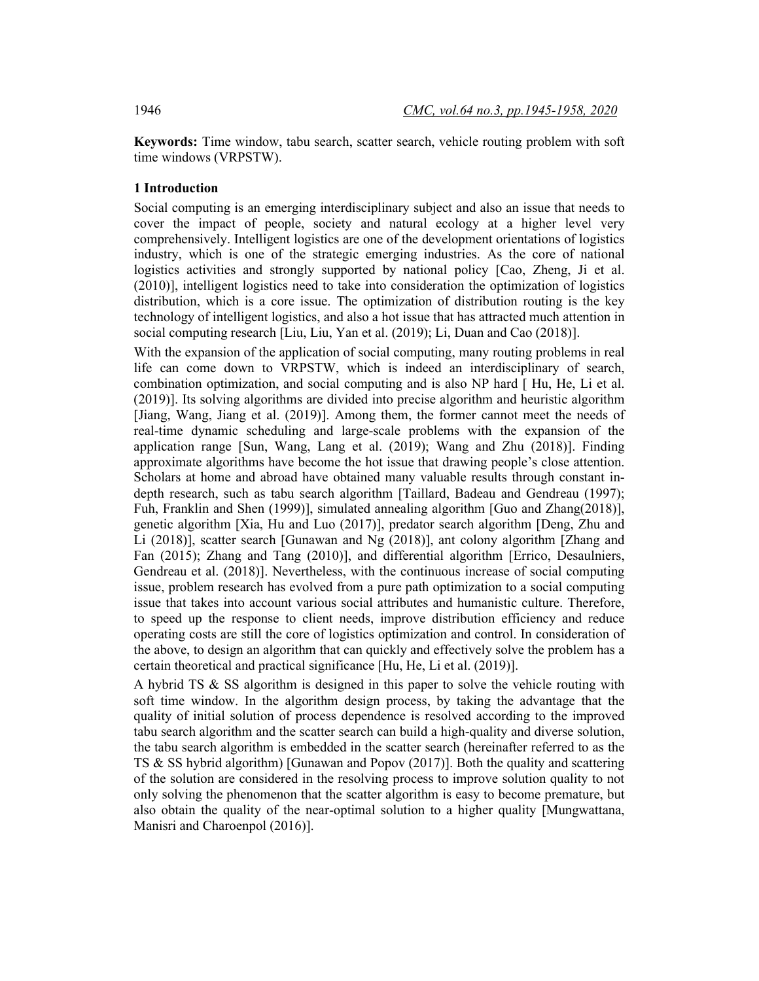**Keywords:** Time window, tabu search, scatter search, vehicle routing problem with soft time windows (VRPSTW).

### **1 Introduction**

Social computing is an emerging interdisciplinary subject and also an issue that needs to cover the impact of people, society and natural ecology at a higher level very comprehensively. Intelligent logistics are one of the development orientations of logistics industry, which is one of the strategic emerging industries. As the core of national logistics activities and strongly supported by national policy [Cao, Zheng, Ji et al. (2010)], intelligent logistics need to take into consideration the optimization of logistics distribution, which is a core issue. The optimization of distribution routing is the key technology of intelligent logistics, and also a hot issue that has attracted much attention in social computing research [Liu, Liu, Yan et al. (2019); Li, Duan and Cao (2018)].

With the expansion of the application of social computing, many routing problems in real life can come down to VRPSTW, which is indeed an interdisciplinary of search, combination optimization, and social computing and is also NP hard [ Hu, He, Li et al. (2019)]. Its solving algorithms are divided into precise algorithm and heuristic algorithm [Jiang, Wang, Jiang et al. (2019)]. Among them, the former cannot meet the needs of real-time dynamic scheduling and large-scale problems with the expansion of the application range [Sun, Wang, Lang et al. (2019); Wang and Zhu (2018)]. Finding approximate algorithms have become the hot issue that drawing people's close attention. Scholars at home and abroad have obtained many valuable results through constant indepth research, such as tabu search algorithm [Taillard, Badeau and Gendreau (1997); Fuh, Franklin and Shen (1999)], simulated annealing algorithm [Guo and Zhang(2018)], genetic algorithm [Xia, Hu and Luo (2017)], predator search algorithm [Deng, Zhu and Li (2018)], scatter search [Gunawan and Ng (2018)], ant colony algorithm [Zhang and Fan (2015); Zhang and Tang (2010)], and differential algorithm [Errico, Desaulniers, Gendreau et al. (2018)]. Nevertheless, with the continuous increase of social computing issue, problem research has evolved from a pure path optimization to a social computing issue that takes into account various social attributes and humanistic culture. Therefore, to speed up the response to client needs, improve distribution efficiency and reduce operating costs are still the core of logistics optimization and control. In consideration of the above, to design an algorithm that can quickly and effectively solve the problem has a certain theoretical and practical significance [Hu, He, Li et al. (2019)].

A hybrid TS  $\&$  SS algorithm is designed in this paper to solve the vehicle routing with soft time window. In the algorithm design process, by taking the advantage that the quality of initial solution of process dependence is resolved according to the improved tabu search algorithm and the scatter search can build a high-quality and diverse solution, the tabu search algorithm is embedded in the scatter search (hereinafter referred to as the TS & SS hybrid algorithm) [Gunawan and Popov (2017)]. Both the quality and scattering of the solution are considered in the resolving process to improve solution quality to not only solving the phenomenon that the scatter algorithm is easy to become premature, but also obtain the quality of the near-optimal solution to a higher quality [Mungwattana, Manisri and Charoenpol (2016)].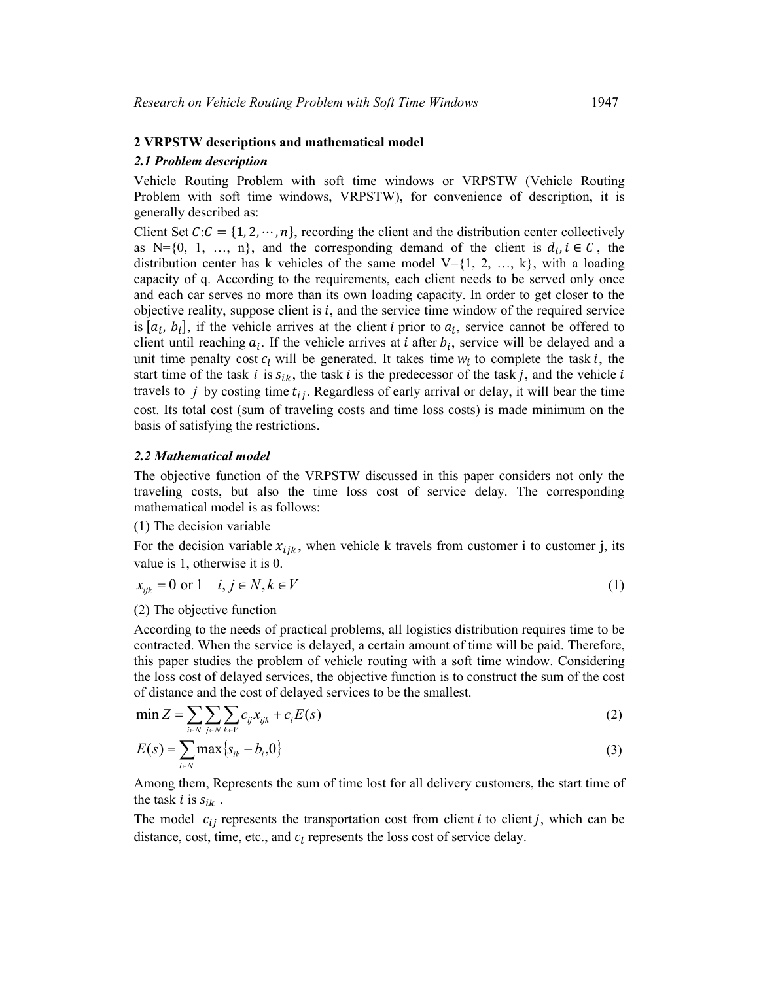### **2 VRPSTW descriptions and mathematical model**

### *2.1 Problem description*

Vehicle Routing Problem with soft time windows or VRPSTW (Vehicle Routing Problem with soft time windows, VRPSTW), for convenience of description, it is generally described as:

Client Set  $C: C = \{1, 2, \dots, n\}$ , recording the client and the distribution center collectively as N={0, 1, ..., n}, and the corresponding demand of the client is  $d_i, i \in \mathcal{C}$ , the distribution center has k vehicles of the same model  $V = \{1, 2, ..., k\}$ , with a loading capacity of q. According to the requirements, each client needs to be served only once and each car serves no more than its own loading capacity. In order to get closer to the objective reality, suppose client is  $i$ , and the service time window of the required service is  $[a_i, b_i]$ , if the vehicle arrives at the client *i* prior to  $a_i$ , service cannot be offered to client until reaching  $a_i$ . If the vehicle arrives at *i* after  $b_i$ , service will be delayed and a unit time penalty cost  $c_l$  will be generated. It takes time  $w_i$  to complete the task i, the start time of the task *i* is  $s_{ik}$ , the task *i* is the predecessor of the task *j*, and the vehicle *i* travels to  $j$  by costing time  $t_{ij}$ . Regardless of early arrival or delay, it will bear the time cost. Its total cost (sum of traveling costs and time loss costs) is made minimum on the basis of satisfying the restrictions.

### *2.2 Mathematical model*

The objective function of the VRPSTW discussed in this paper considers not only the traveling costs, but also the time loss cost of service delay. The corresponding mathematical model is as follows:

## (1) The decision variable

For the decision variable  $x_{ijk}$ , when vehicle k travels from customer i to customer j, its value is 1, otherwise it is 0.

$$
x_{ijk} = 0 \text{ or } 1 \quad i, j \in N, k \in V \tag{1}
$$

#### (2) The objective function

According to the needs of practical problems, all logistics distribution requires time to be contracted. When the service is delayed, a certain amount of time will be paid. Therefore, this paper studies the problem of vehicle routing with a soft time window. Considering the loss cost of delayed services, the objective function is to construct the sum of the cost of distance and the cost of delayed services to be the smallest.

$$
\min Z = \sum_{i \in N} \sum_{j \in N} \sum_{k \in V} c_{ij} x_{ijk} + c_l E(s)
$$
\n(2)

$$
E(s) = \sum_{i \in N} \max \{ s_{ik} - b_i, 0 \}
$$
 (3)

Among them, Represents the sum of time lost for all delivery customers, the start time of the task *i* is  $s_{ik}$ .

The model  $c_{ij}$  represents the transportation cost from client *i* to client *j*, which can be distance, cost, time, etc., and  $c_l$  represents the loss cost of service delay.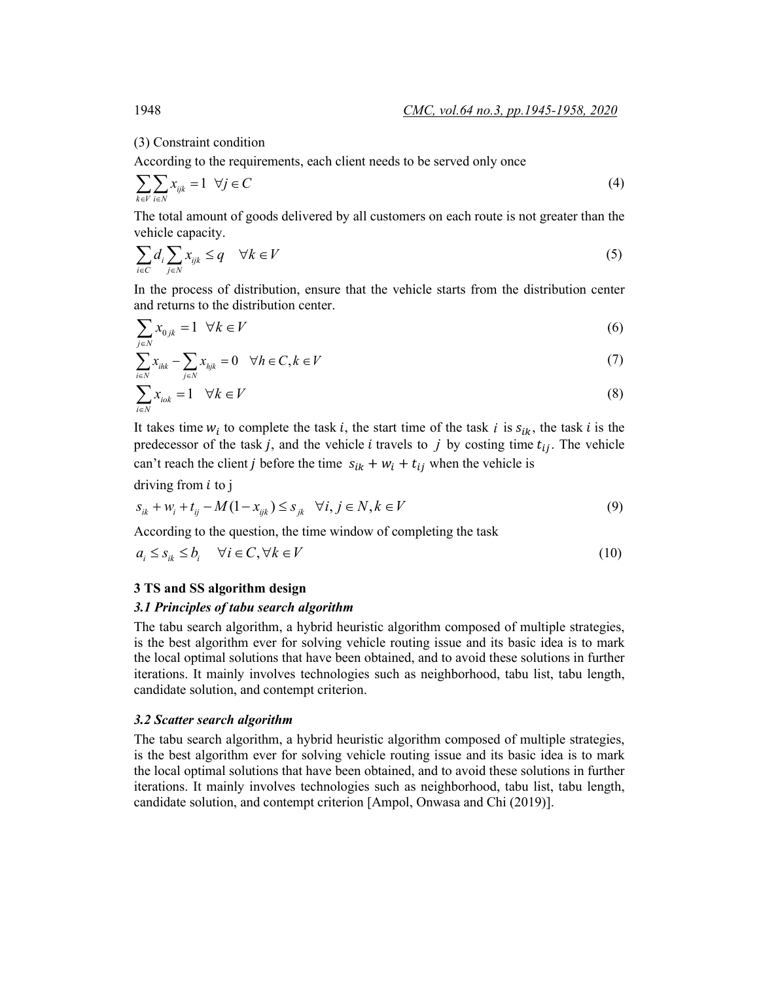(3) Constraint condition

According to the requirements, each client needs to be served only once

$$
\sum_{k \in V} \sum_{i \in N} x_{ijk} = 1 \quad \forall j \in C
$$
\n<sup>(4)</sup>

The total amount of goods delivered by all customers on each route is not greater than the vehicle capacity.

$$
\sum_{i \in C} d_i \sum_{j \in N} x_{ijk} \le q \quad \forall k \in V \tag{5}
$$

In the process of distribution, ensure that the vehicle starts from the distribution center and returns to the distribution center.

$$
\sum_{j \in N} x_{0jk} = 1 \quad \forall k \in V \tag{6}
$$

$$
\sum_{i\in N} x_{ihk} - \sum_{j\in N} x_{hjk} = 0 \quad \forall h \in C, k \in V
$$
\n(7)

$$
\sum_{i \in N} x_{i \circ k} = 1 \quad \forall k \in V
$$
 (8)

It takes time  $w_i$  to complete the task *i*, the start time of the task *i* is  $s_{ik}$ , the task *i* is the predecessor of the task *j*, and the vehicle *i* travels to *j* by costing time  $t_{ij}$ . The vehicle can't reach the client *j* before the time  $s_{ik} + w_i + t_{ij}$  when the vehicle is

driving from  $i$  to j

$$
s_{ik} + w_i + t_{ij} - M(1 - x_{ijk}) \le s_{jk} \quad \forall i, j \in N, k \in V
$$
\n(9)

According to the question, the time window of completing the task

$$
a_i \le s_{ik} \le b_i \quad \forall i \in C, \forall k \in V \tag{10}
$$

#### **3 TS and SS algorithm design**

### *3.1 Principles of tabu search algorithm*

The tabu search algorithm, a hybrid heuristic algorithm composed of multiple strategies, is the best algorithm ever for solving vehicle routing issue and its basic idea is to mark the local optimal solutions that have been obtained, and to avoid these solutions in further iterations. It mainly involves technologies such as neighborhood, tabu list, tabu length, candidate solution, and contempt criterion.

### *3.2 Scatter search algorithm*

The tabu search algorithm, a hybrid heuristic algorithm composed of multiple strategies, is the best algorithm ever for solving vehicle routing issue and its basic idea is to mark the local optimal solutions that have been obtained, and to avoid these solutions in further iterations. It mainly involves technologies such as neighborhood, tabu list, tabu length, candidate solution, and contempt criterion [Ampol, Onwasa and Chi (2019)].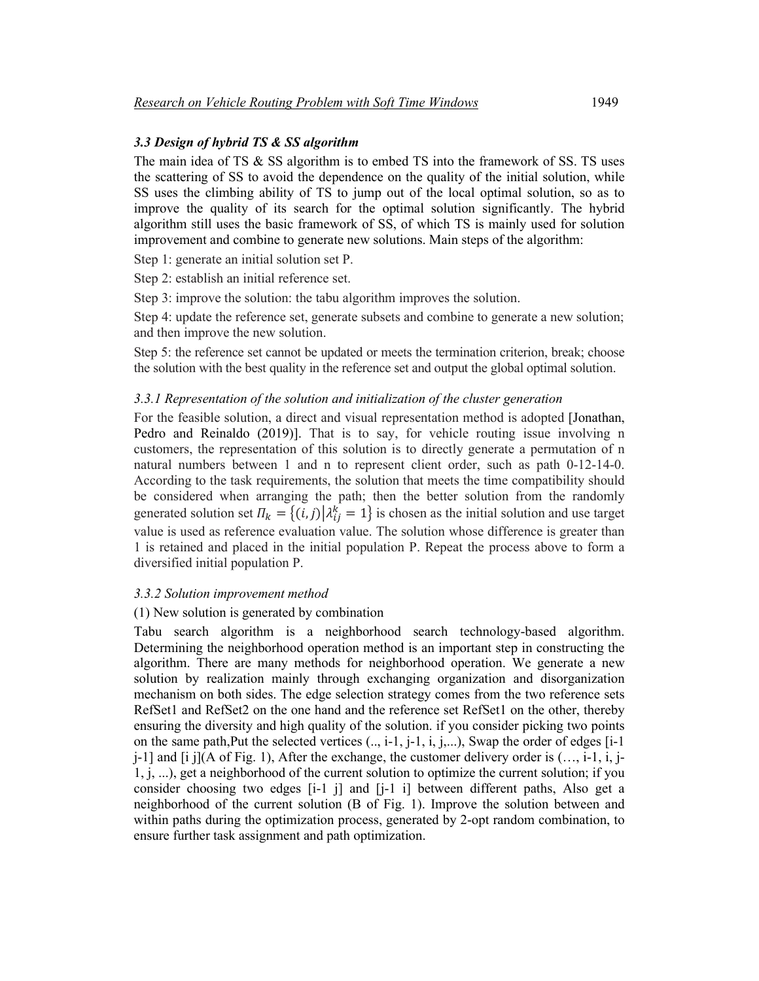# *3.3 Design of hybrid TS & SS algorithm*

The main idea of TS  $\&$  SS algorithm is to embed TS into the framework of SS. TS uses the scattering of SS to avoid the dependence on the quality of the initial solution, while SS uses the climbing ability of TS to jump out of the local optimal solution, so as to improve the quality of its search for the optimal solution significantly. The hybrid algorithm still uses the basic framework of SS, of which TS is mainly used for solution improvement and combine to generate new solutions. Main steps of the algorithm:

Step 1: generate an initial solution set P.

Step 2: establish an initial reference set.

Step 3: improve the solution: the tabu algorithm improves the solution.

Step 4: update the reference set, generate subsets and combine to generate a new solution; and then improve the new solution.

Step 5: the reference set cannot be updated or meets the termination criterion, break; choose the solution with the best quality in the reference set and output the global optimal solution.

### *3.3.1 Representation of the solution and initialization of the cluster generation*

For the feasible solution, a direct and visual representation method is adopted [Jonathan, Pedro and Reinaldo (2019)]. That is to say, for vehicle routing issue involving n customers, the representation of this solution is to directly generate a permutation of n natural numbers between 1 and n to represent client order, such as path 0-12-14-0. According to the task requirements, the solution that meets the time compatibility should be considered when arranging the path; then the better solution from the randomly generated solution set  $\Pi_k = \{(i,j) | \lambda_{ij}^k = 1\}$  is chosen as the initial solution and use target value is used as reference evaluation value. The solution whose difference is greater than 1 is retained and placed in the initial population P. Repeat the process above to form a diversified initial population P.

# *3.3.2 Solution improvement method*

# (1) New solution is generated by combination

Tabu search algorithm is a neighborhood search technology-based algorithm. Determining the neighborhood operation method is an important step in constructing the algorithm. There are many methods for neighborhood operation. We generate a new solution by realization mainly through exchanging organization and disorganization mechanism on both sides. The edge selection strategy comes from the two reference sets RefSet1 and RefSet2 on the one hand and the reference set RefSet1 on the other, thereby ensuring the diversity and high quality of the solution. if you consider picking two points on the same path, Put the selected vertices  $(..., i-1, i, j,...)$ , Swap the order of edges  $[i-1]$  $j-1$ ] and [i j](A of Fig. 1), After the exchange, the customer delivery order is  $(\ldots, i-1, i, j-1)$ 1, j, ...), get a neighborhood of the current solution to optimize the current solution; if you consider choosing two edges [i-1 j] and [j-1 i] between different paths, Also get a neighborhood of the current solution (B of Fig. 1). Improve the solution between and within paths during the optimization process, generated by 2-opt random combination, to ensure further task assignment and path optimization.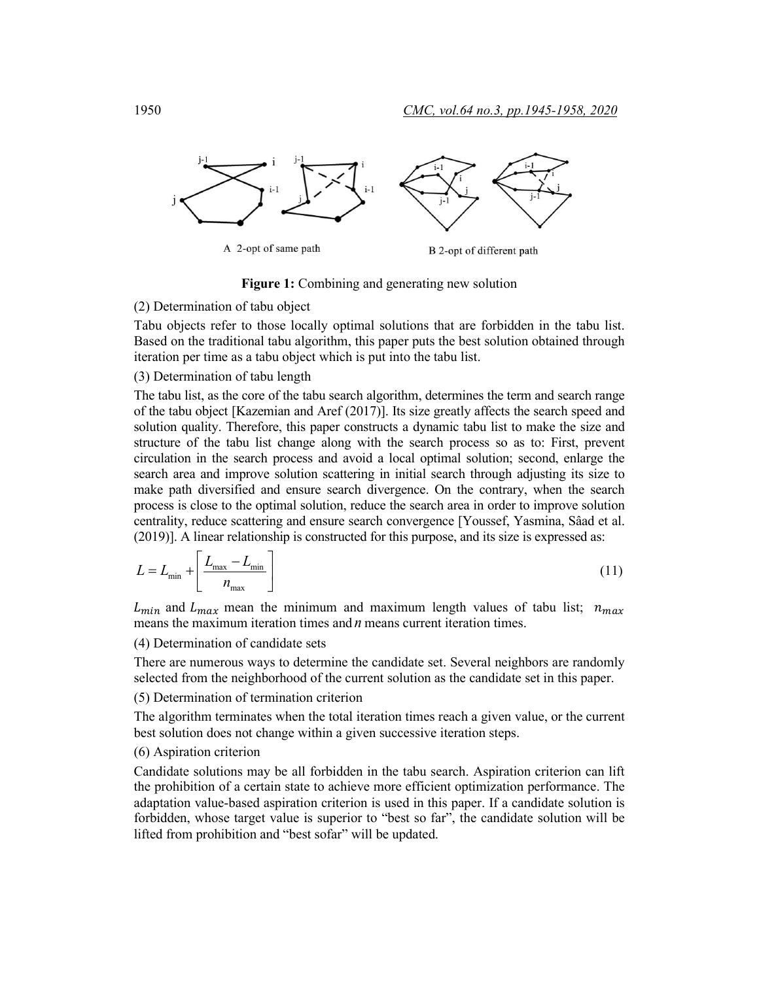

**Figure 1:** Combining and generating new solution

### (2) Determination of tabu object

Tabu objects refer to those locally optimal solutions that are forbidden in the tabu list. Based on the traditional tabu algorithm, this paper puts the best solution obtained through iteration per time as a tabu object which is put into the tabu list.

### (3) Determination of tabu length

The tabu list, as the core of the tabu search algorithm, determines the term and search range of the tabu object [Kazemian and Aref (2017)]. Its size greatly affects the search speed and solution quality. Therefore, this paper constructs a dynamic tabu list to make the size and structure of the tabu list change along with the search process so as to: First, prevent circulation in the search process and avoid a local optimal solution; second, enlarge the search area and improve solution scattering in initial search through adjusting its size to make path diversified and ensure search divergence. On the contrary, when the search process is close to the optimal solution, reduce the search area in order to improve solution centrality, reduce scattering and ensure search convergence [Youssef, Yasmina, Sâad et al. (2019)]. A linear relationship is constructed for this purpose, and its size is expressed as:

$$
L = L_{\min} + \left[ \frac{L_{\max} - L_{\min}}{n_{\max}} \right]
$$
 (11)

 $L_{min}$  and  $L_{max}$  mean the minimum and maximum length values of tabu list;  $n_{max}$ means the maximum iteration times and *n* means current iteration times.

(4) Determination of candidate sets

There are numerous ways to determine the candidate set. Several neighbors are randomly selected from the neighborhood of the current solution as the candidate set in this paper.

(5) Determination of termination criterion

The algorithm terminates when the total iteration times reach a given value, or the current best solution does not change within a given successive iteration steps.

# (6) Aspiration criterion

Candidate solutions may be all forbidden in the tabu search. Aspiration criterion can lift the prohibition of a certain state to achieve more efficient optimization performance. The adaptation value-based aspiration criterion is used in this paper. If a candidate solution is forbidden, whose target value is superior to "best so far", the candidate solution will be lifted from prohibition and "best sofar" will be updated.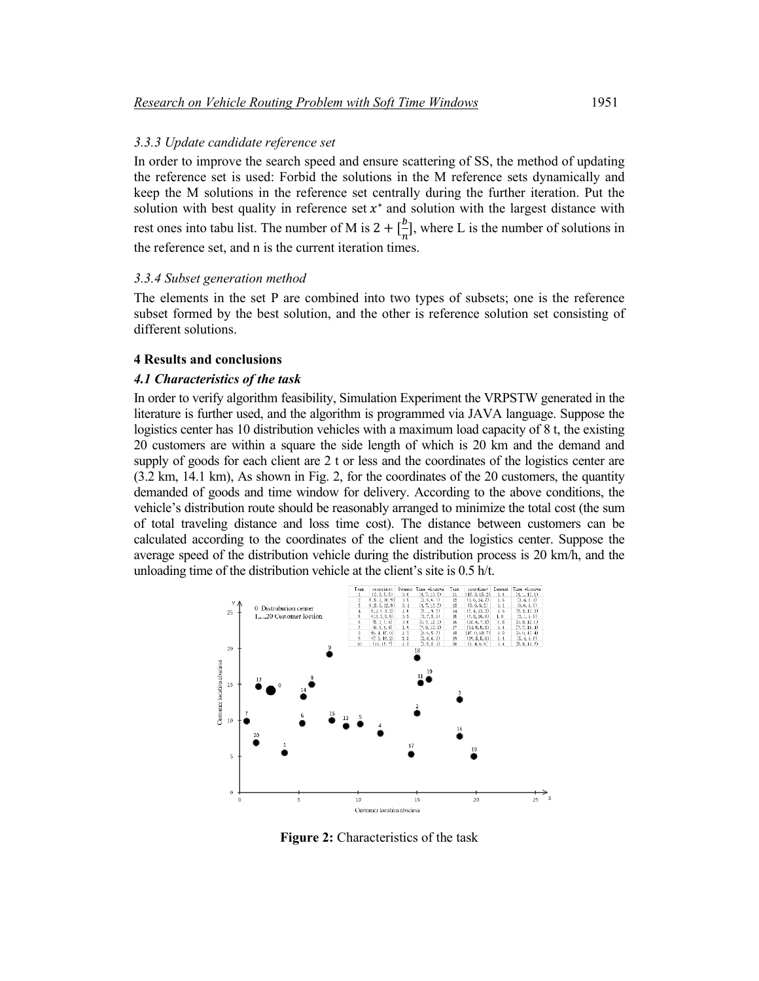# *3.3.3 Update candidate reference set*

In order to improve the search speed and ensure scattering of SS, the method of updating the reference set is used: Forbid the solutions in the M reference sets dynamically and keep the M solutions in the reference set centrally during the further iteration. Put the solution with best quality in reference set  $x^*$  and solution with the largest distance with rest ones into tabu list. The number of M is  $2 + \frac{b}{n}$ , where L is the number of solutions in the reference set, and n is the current iteration times.

### *3.3.4 Subset generation method*

The elements in the set P are combined into two types of subsets; one is the reference subset formed by the best solution, and the other is reference solution set consisting of different solutions.

### **4 Results and conclusions**

#### *4.1 Characteristics of the task*

In order to verify algorithm feasibility, Simulation Experiment the VRPSTW generated in the literature is further used, and the algorithm is programmed via JAVA language. Suppose the logistics center has 10 distribution vehicles with a maximum load capacity of 8 t, the existing 20 customers are within a square the side length of which is 20 km and the demand and supply of goods for each client are 2 t or less and the coordinates of the logistics center are (3.2 km, 14.1 km), As shown in Fig. 2, for the coordinates of the 20 customers, the quantity demanded of goods and time window for delivery. According to the above conditions, the vehicle's distribution route should be reasonably arranged to minimize the total cost (the sum of total traveling distance and loss time cost). The distance between customers can be calculated according to the coordinates of the client and the logistics center. Suppose the average speed of the distribution vehicle during the distribution process is 20 km/h, and the unloading time of the distribution vehicle at the client's site is 0.5 h/t.



**Figure 2:** Characteristics of the task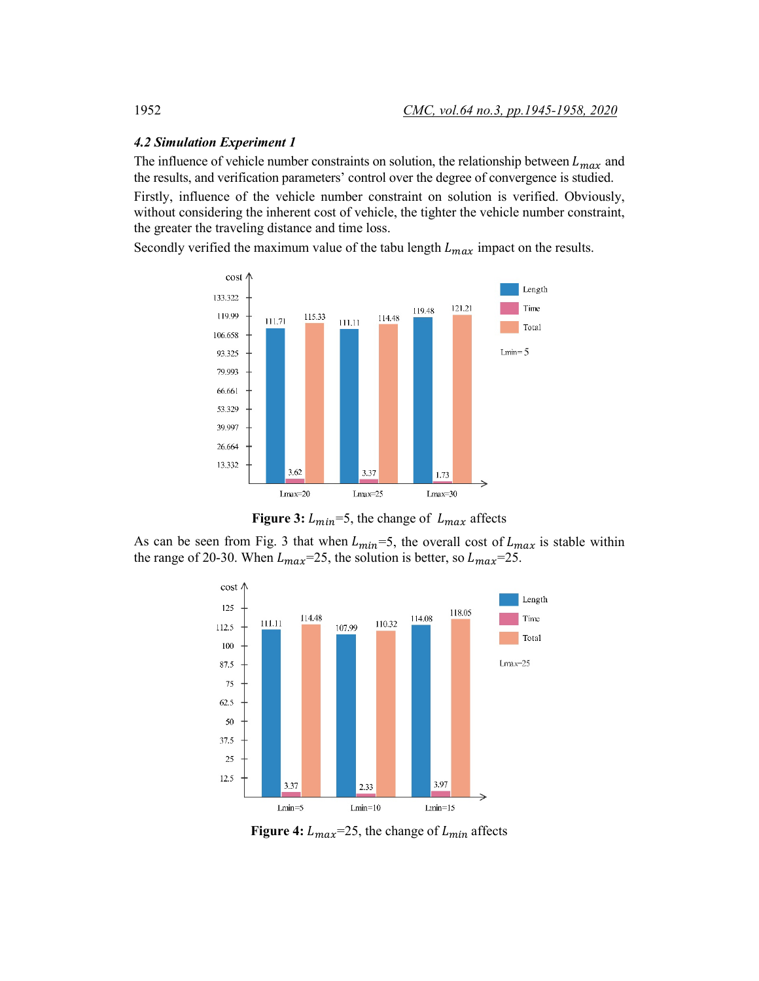## *4.2 Simulation Experiment 1*

The influence of vehicle number constraints on solution, the relationship between  $L_{max}$  and the results, and verification parameters' control over the degree of convergence is studied. Firstly, influence of the vehicle number constraint on solution is verified. Obviously, without considering the inherent cost of vehicle, the tighter the vehicle number constraint, the greater the traveling distance and time loss.

Secondly verified the maximum value of the tabu length  $L_{max}$  impact on the results.



**Figure 3:**  $L_{min} = 5$ , the change of  $L_{max}$  affects

As can be seen from Fig. 3 that when  $L_{min} = 5$ , the overall cost of  $L_{max}$  is stable within the range of 20-30. When  $L_{max}$ =25, the solution is better, so  $L_{max}$ =25.



**Figure 4:**  $L_{max}$ =25, the change of  $L_{min}$  affects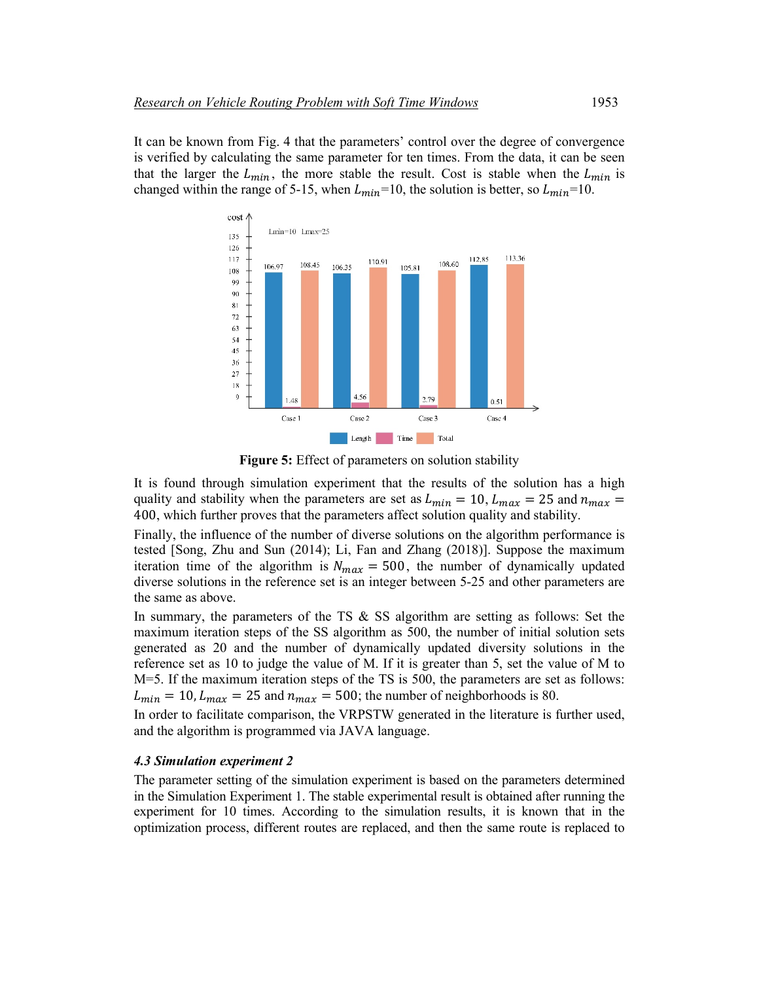It can be known from Fig. 4 that the parameters' control over the degree of convergence is verified by calculating the same parameter for ten times. From the data, it can be seen that the larger the  $L_{min}$ , the more stable the result. Cost is stable when the  $L_{min}$  is changed within the range of 5-15, when  $L_{min}$ =10, the solution is better, so  $L_{min}$ =10.



**Figure 5:** Effect of parameters on solution stability

It is found through simulation experiment that the results of the solution has a high quality and stability when the parameters are set as  $L_{min} = 10$ ,  $L_{max} = 25$  and  $n_{max} =$ 400, which further proves that the parameters affect solution quality and stability.

Finally, the influence of the number of diverse solutions on the algorithm performance is tested [Song, Zhu and Sun (2014); Li, Fan and Zhang (2018)]. Suppose the maximum iteration time of the algorithm is  $N_{max} = 500$ , the number of dynamically updated diverse solutions in the reference set is an integer between 5-25 and other parameters are the same as above.

In summary, the parameters of the TS  $\&$  SS algorithm are setting as follows: Set the maximum iteration steps of the SS algorithm as 500, the number of initial solution sets generated as 20 and the number of dynamically updated diversity solutions in the reference set as 10 to judge the value of M. If it is greater than 5, set the value of M to M=5. If the maximum iteration steps of the TS is 500, the parameters are set as follows:  $L_{min} = 10$ ,  $L_{max} = 25$  and  $n_{max} = 500$ ; the number of neighborhoods is 80.

In order to facilitate comparison, the VRPSTW generated in the literature is further used, and the algorithm is programmed via JAVA language.

#### *4.3 Simulation experiment 2*

The parameter setting of the simulation experiment is based on the parameters determined in the Simulation Experiment 1. The stable experimental result is obtained after running the experiment for 10 times. According to the simulation results, it is known that in the optimization process, different routes are replaced, and then the same route is replaced to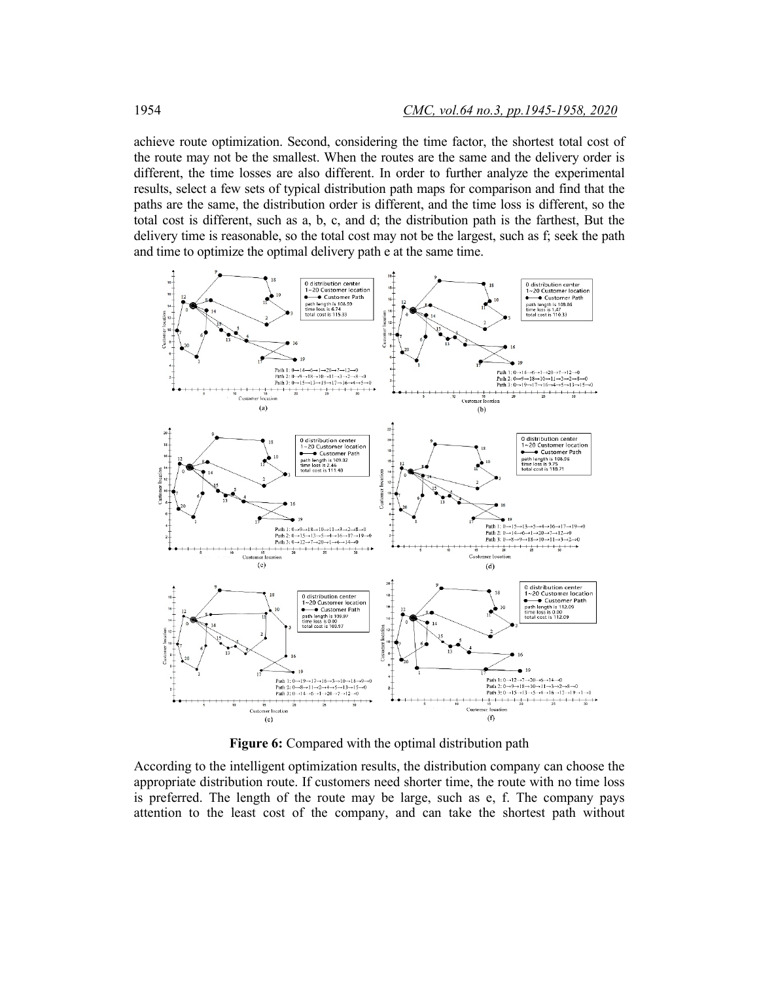achieve route optimization. Second, considering the time factor, the shortest total cost of the route may not be the smallest. When the routes are the same and the delivery order is different, the time losses are also different. In order to further analyze the experimental results, select a few sets of typical distribution path maps for comparison and find that the paths are the same, the distribution order is different, and the time loss is different, so the total cost is different, such as a, b, c, and d; the distribution path is the farthest, But the delivery time is reasonable, so the total cost may not be the largest, such as f; seek the path and time to optimize the optimal delivery path e at the same time.



**Figure 6:** Compared with the optimal distribution path

According to the intelligent optimization results, the distribution company can choose the appropriate distribution route. If customers need shorter time, the route with no time loss is preferred. The length of the route may be large, such as e, f. The company pays attention to the least cost of the company, and can take the shortest path without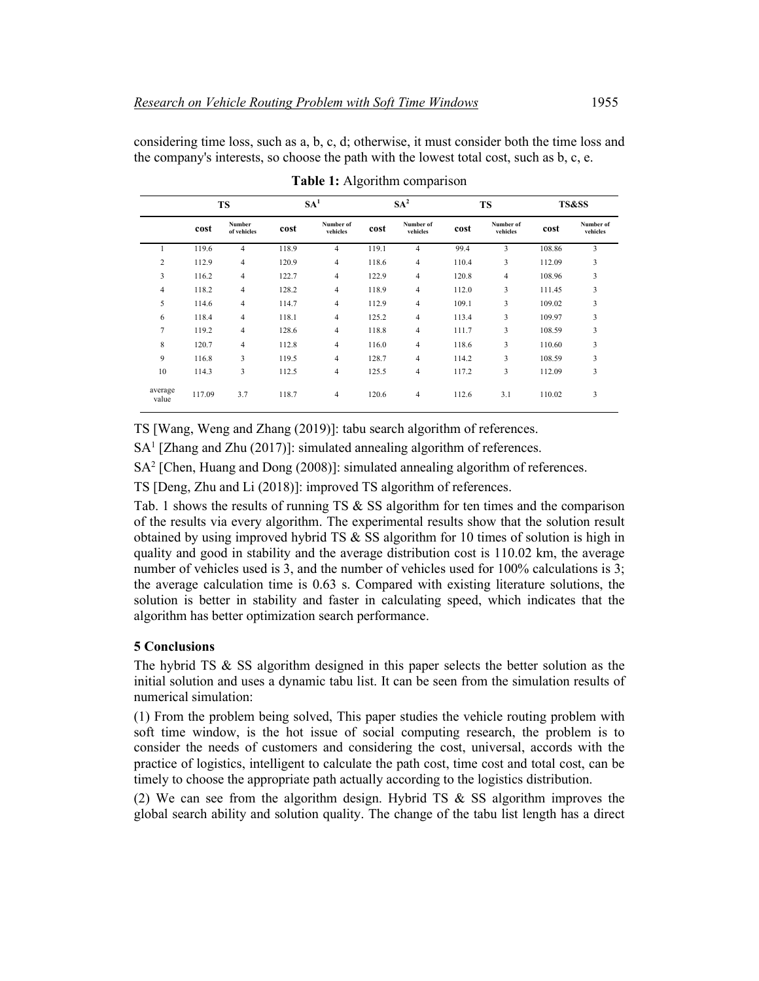considering time loss, such as a, b, c, d; otherwise, it must consider both the time loss and the company's interests, so choose the path with the lowest total cost, such as b, c, e.

|                  | <b>TS</b> |                       | SA <sup>1</sup> |                       | SA <sup>2</sup> |                         | <b>TS</b> |                       | <b>TS&amp;SS</b> |                       |
|------------------|-----------|-----------------------|-----------------|-----------------------|-----------------|-------------------------|-----------|-----------------------|------------------|-----------------------|
|                  | cost      | Number<br>of vehicles | cost            | Number of<br>vehicles | cost            | Number of<br>vehicles   | cost      | Number of<br>vehicles | cost             | Number of<br>vehicles |
|                  | 119.6     | $\overline{4}$        | 118.9           | $\overline{4}$        | 119.1           | 4                       | 99.4      | 3                     | 108.86           | 3                     |
| 2                | 112.9     | $\overline{4}$        | 120.9           | $\overline{4}$        | 118.6           | 4                       | 110.4     | 3                     | 112.09           | 3                     |
| 3                | 116.2     | 4                     | 122.7           | $\overline{4}$        | 122.9           | 4                       | 120.8     | 4                     | 108.96           | 3                     |
| $\overline{4}$   | 118.2     | $\overline{4}$        | 128.2           | $\overline{4}$        | 118.9           | $\overline{4}$          | 112.0     | 3                     | 111.45           | 3                     |
| 5                | 114.6     | $\overline{4}$        | 114.7           | $\overline{4}$        | 112.9           | $\overline{\mathbf{4}}$ | 109.1     | 3                     | 109.02           | 3                     |
| 6                | 118.4     | $\overline{4}$        | 118.1           | $\overline{4}$        | 125.2           | 4                       | 113.4     | 3                     | 109.97           | 3                     |
| $\overline{7}$   | 119.2     | $\overline{4}$        | 128.6           | $\overline{4}$        | 118.8           | 4                       | 111.7     | 3                     | 108.59           | 3                     |
| 8                | 120.7     | 4                     | 112.8           | $\overline{4}$        | 116.0           | $\overline{\mathbf{4}}$ | 118.6     | 3                     | 110.60           | 3                     |
| 9                | 116.8     | 3                     | 119.5           | $\overline{4}$        | 128.7           | 4                       | 114.2     | 3                     | 108.59           | 3                     |
| 10               | 114.3     | 3                     | 112.5           | $\overline{4}$        | 125.5           | 4                       | 117.2     | 3                     | 112.09           | 3                     |
| average<br>value | 117.09    | 3.7                   | 118.7           | $\overline{4}$        | 120.6           | 4                       | 112.6     | 3.1                   | 110.02           | 3                     |

**Table 1:** Algorithm comparison

TS [Wang, Weng and Zhang (2019)]: tabu search algorithm of references.

SA1 [Zhang and Zhu (2017)]: simulated annealing algorithm of references.

SA<sup>2</sup> [Chen, Huang and Dong (2008)]: simulated annealing algorithm of references.

TS [Deng, Zhu and Li (2018)]: improved TS algorithm of references.

Tab. 1 shows the results of running TS  $\&$  SS algorithm for ten times and the comparison of the results via every algorithm. The experimental results show that the solution result obtained by using improved hybrid TS & SS algorithm for 10 times of solution is high in quality and good in stability and the average distribution cost is 110.02 km, the average number of vehicles used is 3, and the number of vehicles used for 100% calculations is 3; the average calculation time is 0.63 s. Compared with existing literature solutions, the solution is better in stability and faster in calculating speed, which indicates that the algorithm has better optimization search performance.

# **5 Conclusions**

The hybrid TS  $\&$  SS algorithm designed in this paper selects the better solution as the initial solution and uses a dynamic tabu list. It can be seen from the simulation results of numerical simulation:

(1) From the problem being solved, This paper studies the vehicle routing problem with soft time window, is the hot issue of social computing research, the problem is to consider the needs of customers and considering the cost, universal, accords with the practice of logistics, intelligent to calculate the path cost, time cost and total cost, can be timely to choose the appropriate path actually according to the logistics distribution.

(2) We can see from the algorithm design. Hybrid TS & SS algorithm improves the global search ability and solution quality. The change of the tabu list length has a direct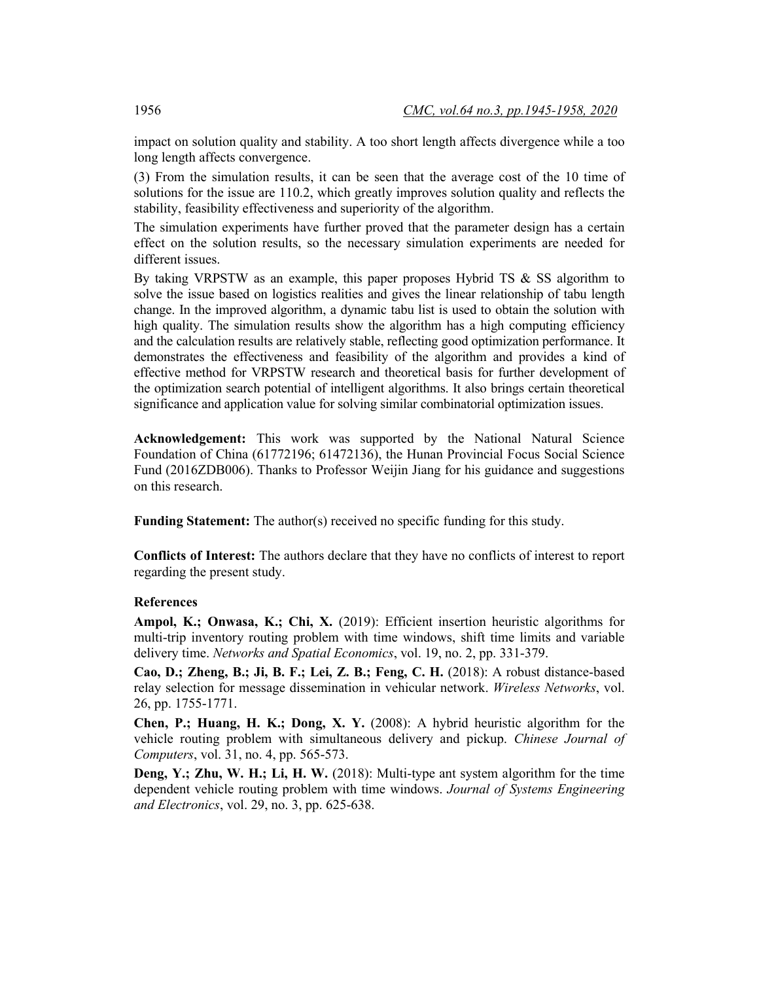impact on solution quality and stability. A too short length affects divergence while a too long length affects convergence.

(3) From the simulation results, it can be seen that the average cost of the 10 time of solutions for the issue are 110.2, which greatly improves solution quality and reflects the stability, feasibility effectiveness and superiority of the algorithm.

The simulation experiments have further proved that the parameter design has a certain effect on the solution results, so the necessary simulation experiments are needed for different issues.

By taking VRPSTW as an example, this paper proposes Hybrid TS  $\&$  SS algorithm to solve the issue based on logistics realities and gives the linear relationship of tabu length change. In the improved algorithm, a dynamic tabu list is used to obtain the solution with high quality. The simulation results show the algorithm has a high computing efficiency and the calculation results are relatively stable, reflecting good optimization performance. It demonstrates the effectiveness and feasibility of the algorithm and provides a kind of effective method for VRPSTW research and theoretical basis for further development of the optimization search potential of intelligent algorithms. It also brings certain theoretical significance and application value for solving similar combinatorial optimization issues.

**Acknowledgement:** This work was supported by the National Natural Science Foundation of China (61772196; 61472136), the Hunan Provincial Focus Social Science Fund (2016ZDB006). Thanks to Professor Weijin Jiang for his guidance and suggestions on this research.

**Funding Statement:** The author(s) received no specific funding for this study.

**Conflicts of Interest:** The authors declare that they have no conflicts of interest to report regarding the present study.

# **References**

**Ampol, K.; Onwasa, K.; Chi, X.** (2019): Efficient insertion heuristic algorithms for multi-trip inventory routing problem with time windows, shift time limits and variable delivery time. *Networks and Spatial Economics*, vol. 19, no. 2, pp. 331-379.

**Cao, D.; Zheng, B.; Ji, B. F.; Lei, Z. B.; Feng, C. H.** (2018): A robust distance-based relay selection for message dissemination in vehicular network. *Wireless Networks*, vol. 26, pp. 1755-1771.

**Chen, P.; Huang, H. K.; Dong, X. Y.** (2008): A hybrid heuristic algorithm for the vehicle routing problem with simultaneous delivery and pickup. *Chinese Journal of Computers*, vol. 31, no. 4, pp. 565-573.

**Deng, Y.; Zhu, W. H.; Li, H. W.** (2018): Multi-type ant system algorithm for the time dependent vehicle routing problem with time windows. *Journal of Systems Engineering and Electronics*, vol. 29, no. 3, pp. 625-638.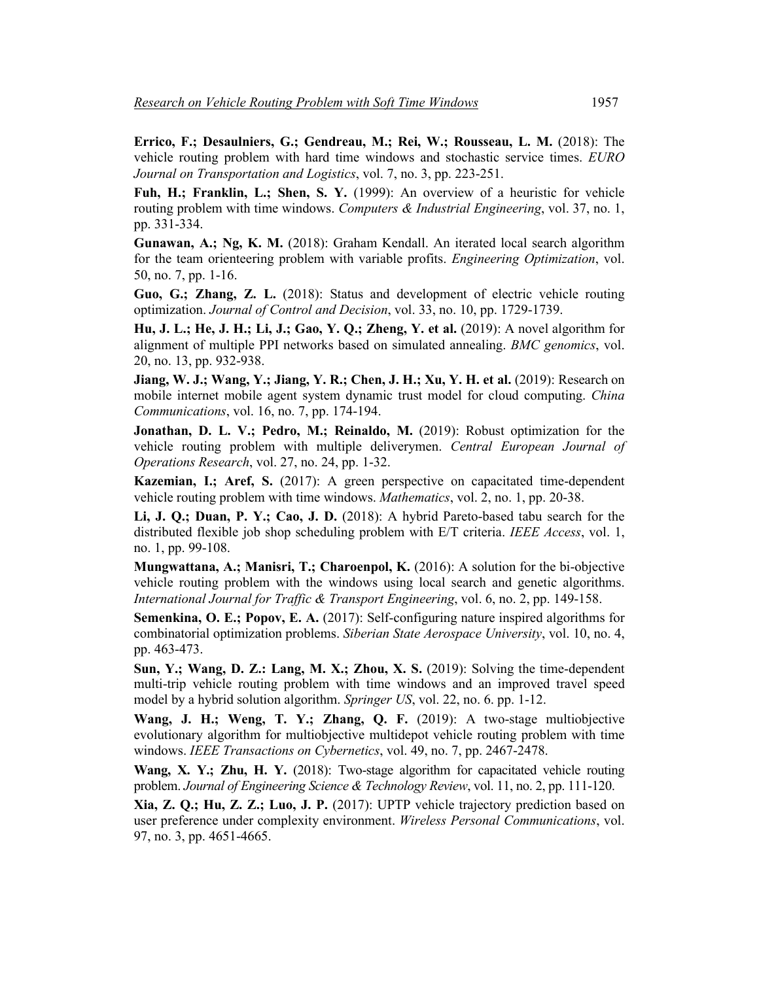**Errico, F.; Desaulniers, G.; Gendreau, M.; Rei, W.; Rousseau, L. M.** (2018): The vehicle routing problem with hard time windows and stochastic service times. *EURO Journal on Transportation and Logistics*, vol. 7, no. 3, pp. 223-251.

**Fuh, H.; Franklin, L.; Shen, S. Y.** (1999): An overview of a heuristic for vehicle routing problem with time windows. *Computers & Industrial Engineering*, vol. 37, no. 1, pp. 331-334.

**Gunawan, A.; Ng, K. M.** (2018): Graham Kendall. An iterated local search algorithm for the team orienteering problem with variable profits. *Engineering Optimization*, vol. 50, no. 7, pp. 1-16.

**Guo, G.; Zhang, Z. L.** (2018): Status and development of electric vehicle routing optimization. *Journal of Control and Decision*, vol. 33, no. 10, pp. 1729-1739.

**Hu, J. L.; He, J. H.; Li, J.; Gao, Y. Q.; Zheng, Y. et al.** (2019): A novel algorithm for alignment of multiple PPI networks based on simulated annealing. *BMC genomics*, vol. 20, no. 13, pp. 932-938.

**Jiang, W. J.; Wang, Y.; Jiang, Y. R.; Chen, J. H.; Xu, Y. H. et al.** (2019): Research on mobile internet mobile agent system dynamic trust model for cloud computing. *China Communications*, vol. 16, no. 7, pp. 174-194.

**Jonathan, D. L. V.; Pedro, M.; Reinaldo, M.** (2019): Robust optimization for the vehicle routing problem with multiple deliverymen. *Central European Journal of Operations Research*, vol. 27, no. 24, pp. 1-32.

**Kazemian, I.; Aref, S.** (2017): A green perspective on capacitated time-dependent vehicle routing problem with time windows. *Mathematics*, vol. 2, no. 1, pp. 20-38.

**Li, J. Q.; Duan, P. Y.; Cao, J. D.** (2018): A hybrid Pareto-based tabu search for the distributed flexible job shop scheduling problem with E/T criteria. *IEEE Access*, vol. 1, no. 1, pp. 99-108.

**Mungwattana, A.; Manisri, T.; Charoenpol, K.** (2016): A solution for the bi-objective vehicle routing problem with the windows using local search and genetic algorithms. *International Journal for Traffic & Transport Engineering*, vol. 6, no. 2, pp. 149-158.

**Semenkina, O. E.; Popov, E. A.** (2017): Self-configuring nature inspired algorithms for combinatorial optimization problems. *Siberian State Aerospace University*, vol. 10, no. 4, pp. 463-473.

**Sun, Y.; Wang, D. Z.: Lang, M. X.; Zhou, X. S.** (2019): Solving the time-dependent multi-trip vehicle routing problem with time windows and an improved travel speed model by a hybrid solution algorithm. *Springer US*, vol. 22, no. 6. pp. 1-12.

**Wang, J. H.; Weng, T. Y.; Zhang, Q. F.** (2019): A two-stage multiobjective evolutionary algorithm for multiobjective multidepot vehicle routing problem with time windows. *IEEE Transactions on Cybernetics*, vol. 49, no. 7, pp. 2467-2478.

**Wang, X. Y.; Zhu, H. Y.** (2018): Two-stage algorithm for capacitated vehicle routing problem. *Journal of Engineering Science & Technology Review*, vol. 11, no. 2, pp. 111-120.

**Xia, Z. Q.; Hu, Z. Z.; Luo, J. P.** (2017): UPTP vehicle trajectory prediction based on user preference under complexity environment. *Wireless Personal Communications*, vol. 97, no. 3, pp. 4651-4665.